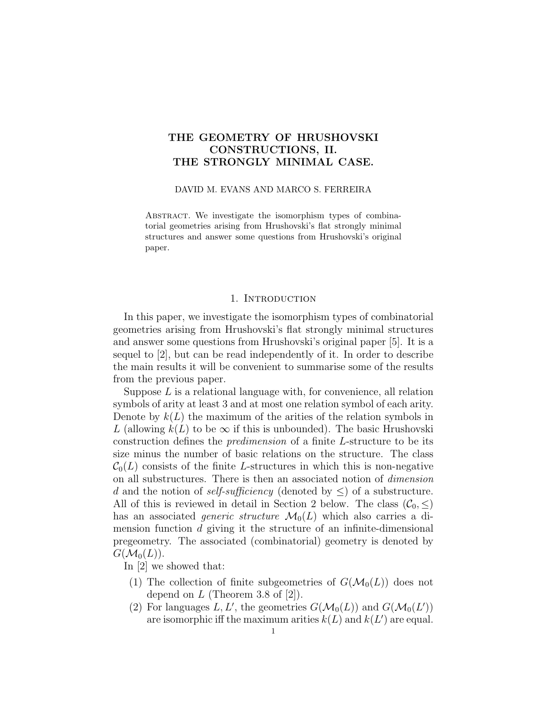# THE GEOMETRY OF HRUSHOVSKI CONSTRUCTIONS, II. THE STRONGLY MINIMAL CASE.

#### DAVID M. EVANS AND MARCO S. FERREIRA

ABSTRACT. We investigate the isomorphism types of combinatorial geometries arising from Hrushovski's flat strongly minimal structures and answer some questions from Hrushovski's original paper.

### 1. Introduction

In this paper, we investigate the isomorphism types of combinatorial geometries arising from Hrushovski's flat strongly minimal structures and answer some questions from Hrushovski's original paper [5]. It is a sequel to [2], but can be read independently of it. In order to describe the main results it will be convenient to summarise some of the results from the previous paper.

Suppose  $L$  is a relational language with, for convenience, all relation symbols of arity at least 3 and at most one relation symbol of each arity. Denote by  $k(L)$  the maximum of the arities of the relation symbols in L (allowing  $k(L)$  to be  $\infty$  if this is unbounded). The basic Hrushovski construction defines the predimension of a finite L-structure to be its size minus the number of basic relations on the structure. The class  $\mathcal{C}_0(L)$  consists of the finite L-structures in which this is non-negative on all substructures. There is then an associated notion of dimension d and the notion of self-sufficiency (denoted by  $\leq$ ) of a substructure. All of this is reviewed in detail in Section 2 below. The class  $(\mathcal{C}_0, \leq)$ has an associated *generic structure*  $\mathcal{M}_0(L)$  which also carries a dimension function d giving it the structure of an infinite-dimensional pregeometry. The associated (combinatorial) geometry is denoted by  $G(\mathcal{M}_0(L))$ .

In [2] we showed that:

- (1) The collection of finite subgeometries of  $G(\mathcal{M}_0(L))$  does not depend on  $L$  (Theorem 3.8 of [2]).
- (2) For languages L, L', the geometries  $G(\mathcal{M}_0(L))$  and  $G(\mathcal{M}_0(L'))$ are isomorphic iff the maximum arities  $k(L)$  and  $k(L')$  are equal.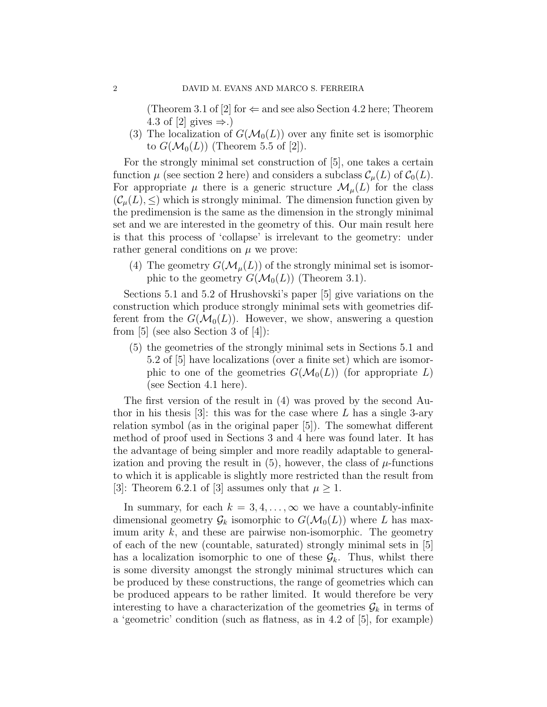(Theorem 3.1 of [2] for  $\Leftarrow$  and see also Section 4.2 here; Theorem 4.3 of [2] gives  $\Rightarrow$ .)

(3) The localization of  $G(\mathcal{M}_0(L))$  over any finite set is isomorphic to  $G(\mathcal{M}_0(L))$  (Theorem 5.5 of [2]).

For the strongly minimal set construction of [5], one takes a certain function  $\mu$  (see section 2 here) and considers a subclass  $\mathcal{C}_{\mu}(L)$  of  $\mathcal{C}_{0}(L)$ . For appropriate  $\mu$  there is a generic structure  $\mathcal{M}_{\mu}(L)$  for the class  $(\mathcal{C}_{\mu}(L), \leq)$  which is strongly minimal. The dimension function given by the predimension is the same as the dimension in the strongly minimal set and we are interested in the geometry of this. Our main result here is that this process of 'collapse' is irrelevant to the geometry: under rather general conditions on  $\mu$  we prove:

(4) The geometry  $G(\mathcal{M}_{\mu}(L))$  of the strongly minimal set is isomorphic to the geometry  $G(\mathcal{M}_0(L))$  (Theorem 3.1).

Sections 5.1 and 5.2 of Hrushovski's paper [5] give variations on the construction which produce strongly minimal sets with geometries different from the  $G(\mathcal{M}_0(L))$ . However, we show, answering a question from [5] (see also Section 3 of [4]):

(5) the geometries of the strongly minimal sets in Sections 5.1 and 5.2 of [5] have localizations (over a finite set) which are isomorphic to one of the geometries  $G(\mathcal{M}_0(L))$  (for appropriate L) (see Section 4.1 here).

The first version of the result in (4) was proved by the second Author in his thesis [3]: this was for the case where  $L$  has a single 3-ary relation symbol (as in the original paper [5]). The somewhat different method of proof used in Sections 3 and 4 here was found later. It has the advantage of being simpler and more readily adaptable to generalization and proving the result in  $(5)$ , however, the class of  $\mu$ -functions to which it is applicable is slightly more restricted than the result from [3]: Theorem 6.2.1 of [3] assumes only that  $\mu \geq 1$ .

In summary, for each  $k = 3, 4, \ldots, \infty$  we have a countably-infinite dimensional geometry  $\mathcal{G}_k$  isomorphic to  $G(\mathcal{M}_0(L))$  where L has maximum arity  $k$ , and these are pairwise non-isomorphic. The geometry of each of the new (countable, saturated) strongly minimal sets in [5] has a localization isomorphic to one of these  $\mathcal{G}_k$ . Thus, whilst there is some diversity amongst the strongly minimal structures which can be produced by these constructions, the range of geometries which can be produced appears to be rather limited. It would therefore be very interesting to have a characterization of the geometries  $\mathcal{G}_k$  in terms of a 'geometric' condition (such as flatness, as in 4.2 of [5], for example)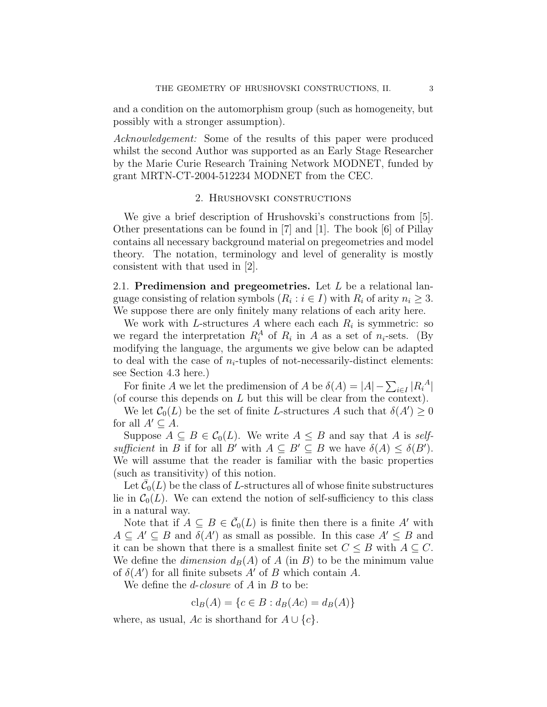and a condition on the automorphism group (such as homogeneity, but possibly with a stronger assumption).

Acknowledgement: Some of the results of this paper were produced whilst the second Author was supported as an Early Stage Researcher by the Marie Curie Research Training Network MODNET, funded by grant MRTN-CT-2004-512234 MODNET from the CEC.

### 2. Hrushovski constructions

We give a brief description of Hrushovski's constructions from [5]. Other presentations can be found in [7] and [1]. The book [6] of Pillay contains all necessary background material on pregeometries and model theory. The notation, terminology and level of generality is mostly consistent with that used in [2].

2.1. Predimension and pregeometries. Let  $L$  be a relational language consisting of relation symbols  $(R_i : i \in I)$  with  $R_i$  of arity  $n_i \geq 3$ . We suppose there are only finitely many relations of each arity here.

We work with L-structures  $A$  where each each  $R_i$  is symmetric: so we regard the interpretation  $R_i^A$  of  $R_i$  in A as a set of  $n_i$ -sets. (By modifying the language, the arguments we give below can be adapted to deal with the case of  $n_i$ -tuples of not-necessarily-distinct elements: see Section 4.3 here.)

For finite A we let the predimension of A be  $\delta(A) = |A| - \sum_{i \in I} |R_i^A|$ (of course this depends on L but this will be clear from the context).

We let  $\mathcal{C}_0(L)$  be the set of finite L-structures A such that  $\delta(A') \geq 0$ for all  $A' \subseteq A$ .

Suppose  $A \subseteq B \in C_0(L)$ . We write  $A \leq B$  and say that A is selfsufficient in B if for all B' with  $A \subseteq B' \subseteq B$  we have  $\delta(A) \leq \delta(B')$ . We will assume that the reader is familiar with the basic properties (such as transitivity) of this notion.

Let  $\bar{\mathcal{C}}_0(L)$  be the class of L-structures all of whose finite substructures lie in  $C_0(L)$ . We can extend the notion of self-sufficiency to this class in a natural way.

Note that if  $A \subseteq B \in \overline{\mathcal{C}}_0(L)$  is finite then there is a finite A' with  $A \subseteq A' \subseteq B$  and  $\delta(A')$  as small as possible. In this case  $A' \leq B$  and it can be shown that there is a smallest finite set  $C \leq B$  with  $A \subseteq C$ . We define the *dimension*  $d_B(A)$  of A (in B) to be the minimum value of  $\delta(A')$  for all finite subsets A' of B which contain A.

We define the  $d$ -closure of  $A$  in  $B$  to be:

 $cl_B(A) = \{c \in B : d_B(Ac) = d_B(A)\}\$ 

where, as usual, Ac is shorthand for  $A \cup \{c\}$ .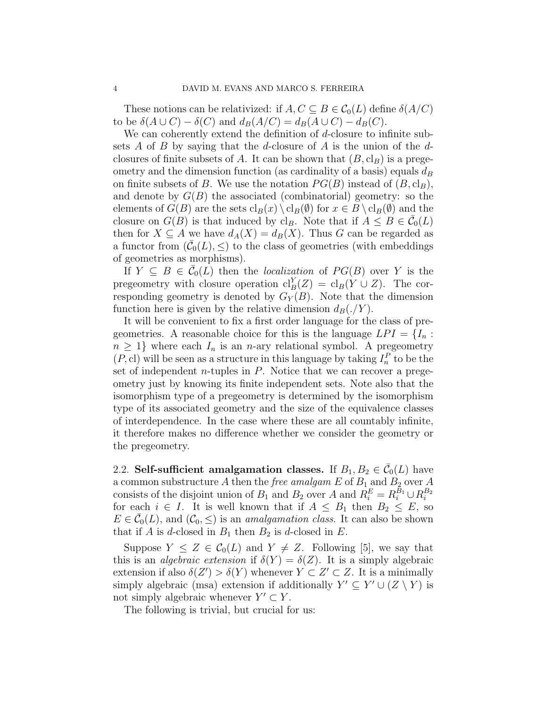These notions can be relativized: if  $A, C \subseteq B \in C_0(L)$  define  $\delta(A/C)$ to be  $\delta(A \cup C) - \delta(C)$  and  $d_B(A/C) = d_B(A \cup C) - d_B(C)$ .

We can coherently extend the definition of d-closure to infinite subsets  $A$  of  $B$  by saying that the d-closure of  $A$  is the union of the  $d$ closures of finite subsets of A. It can be shown that  $(B, \mathrm{cl}_B)$  is a pregeometry and the dimension function (as cardinality of a basis) equals  $d_B$ on finite subsets of B. We use the notation  $PG(B)$  instead of  $(B, cl_B)$ , and denote by  $G(B)$  the associated (combinatorial) geometry: so the elements of  $G(B)$  are the sets  $\text{cl}_B(x) \setminus \text{cl}_B(\emptyset)$  for  $x \in B \setminus \text{cl}_B(\emptyset)$  and the closure on  $G(B)$  is that induced by cl<sub>B</sub>. Note that if  $A \leq B \in \overline{\mathcal{C}}_0(L)$ then for  $X \subseteq A$  we have  $d_A(X) = d_B(X)$ . Thus G can be regarded as a functor from  $(\bar{C}_0(L), \leq)$  to the class of geometries (with embeddings of geometries as morphisms).

If  $Y \subseteq B \in \overline{\mathcal{C}}_0(L)$  then the localization of  $PG(B)$  over Y is the pregeometry with closure operation  $\mathrm{cl}_B^Y(Z) = \mathrm{cl}_B(Y \cup Z)$ . The corresponding geometry is denoted by  $G_Y(B)$ . Note that the dimension function here is given by the relative dimension  $d_B(\cdot/Y)$ .

It will be convenient to fix a first order language for the class of pregeometries. A reasonable choice for this is the language  $LPI = \{I_n :$  $n \geq 1$  where each  $I_n$  is an *n*-ary relational symbol. A pregeometry  $(P, c)$  will be seen as a structure in this language by taking  $I_n^P$  to be the set of independent *n*-tuples in  $P$ . Notice that we can recover a pregeometry just by knowing its finite independent sets. Note also that the isomorphism type of a pregeometry is determined by the isomorphism type of its associated geometry and the size of the equivalence classes of interdependence. In the case where these are all countably infinite, it therefore makes no difference whether we consider the geometry or the pregeometry.

2.2. Self-sufficient amalgamation classes. If  $B_1, B_2 \in \overline{\mathcal{C}}_0(L)$  have a common substructure  $A$  then the *free amalgam*  $E$  of  $B_1$  and  $B_2$  over  $A$ consists of the disjoint union of  $B_1$  and  $B_2$  over A and  $R_i^E = R_i^{B_1} \cup R_i^{B_2}$ for each  $i \in I$ . It is well known that if  $A \leq B_1$  then  $B_2 \leq E$ , so  $E \in \overline{\mathcal{C}}_0(L)$ , and  $(\mathcal{C}_0, \leq)$  is an *amalgamation class.* It can also be shown that if  $A$  is d-closed in  $B_1$  then  $B_2$  is d-closed in  $E$ .

Suppose  $Y \leq Z \in C_0(L)$  and  $Y \neq Z$ . Following [5], we say that this is an *algebraic extension* if  $\delta(Y) = \delta(Z)$ . It is a simply algebraic extension if also  $\delta(Z') > \delta(Y)$  whenever  $Y \subset Z' \subset Z$ . It is a minimally simply algebraic (msa) extension if additionally  $Y' \subseteq Y' \cup (Z \setminus Y)$  is not simply algebraic whenever  $Y' \subset Y$ .

The following is trivial, but crucial for us: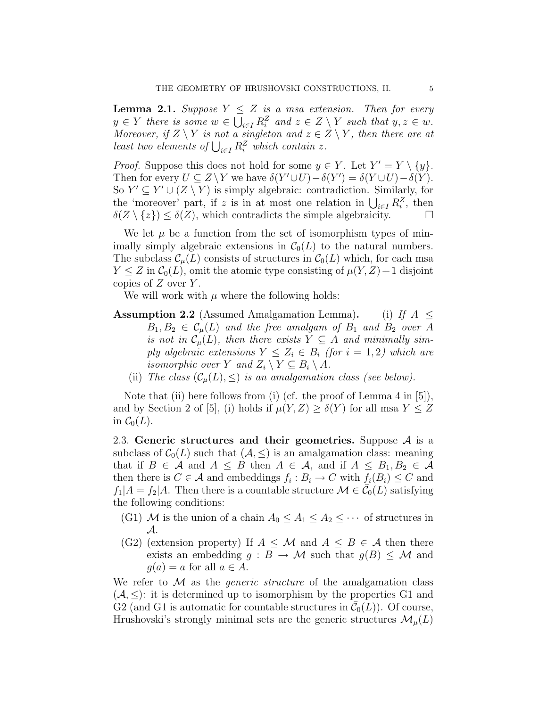**Lemma 2.1.** Suppose  $Y \leq Z$  is a msa extension. Then for every  $y \in Y$  there is some  $w \in \bigcup_{i \in I} R_i^Z$  and  $z \in Z \setminus Y$  such that  $y, z \in w$ . Moreover, if  $Z \setminus Y$  is not a singleton and  $z \in Z \setminus Y$ , then there are at least two elements of  $\bigcup_{i \in I} R_i^Z$  which contain z.

*Proof.* Suppose this does not hold for some  $y \in Y$ . Let  $Y' = Y \setminus \{y\}$ . Then for every  $U \subseteq Z \backslash Y$  we have  $\delta(Y' \cup U) - \delta(Y') = \delta(Y \cup U) - \delta(Y)$ . So  $Y' \subseteq Y' \cup (Z \setminus Y)$  is simply algebraic: contradiction. Similarly, for the 'moreover' part, if z is in at most one relation in  $\bigcup_{i\in I} R_i^Z$ , then  $\delta(Z \setminus \{z\}) \leq \delta(Z)$ , which contradicts the simple algebraicity.

We let  $\mu$  be a function from the set of isomorphism types of minimally simply algebraic extensions in  $C_0(L)$  to the natural numbers. The subclass  $\mathcal{C}_{\mu}(L)$  consists of structures in  $\mathcal{C}_{0}(L)$  which, for each msa  $Y \leq Z$  in  $\mathcal{C}_0(L)$ , omit the atomic type consisting of  $\mu(Y, Z) + 1$  disjoint copies of  $Z$  over  $Y$ .

We will work with  $\mu$  where the following holds:

- **Assumption 2.2** (Assumed Amalgamation Lemma). (i) If  $A \leq$  $B_1, B_2 \in C_\mu(L)$  and the free amalgam of  $B_1$  and  $B_2$  over A is not in  $\mathcal{C}_{\mu}(L)$ , then there exists  $Y \subseteq A$  and minimally simply algebraic extensions  $Y \leq Z_i \in B_i$  (for  $i = 1, 2$ ) which are *isomorphic over* Y and  $Z_i \setminus Y \subseteq B_i \setminus A$ .
	- (ii) The class  $(C_{\mu}(L), \leq)$  is an amalgamation class (see below).

Note that (ii) here follows from (i) (cf. the proof of Lemma 4 in [5]), and by Section 2 of [5], (i) holds if  $\mu(Y, Z) \ge \delta(Y)$  for all msa  $Y \le Z$ in  $\mathcal{C}_0(L)$ .

2.3. Generic structures and their geometries. Suppose  $A$  is a subclass of  $C_0(L)$  such that  $(A, \leq)$  is an amalgamation class: meaning that if  $B \in \mathcal{A}$  and  $A \leq B$  then  $A \in \mathcal{A}$ , and if  $A \leq B_1, B_2 \in \mathcal{A}$ then there is  $C \in \mathcal{A}$  and embeddings  $f_i : B_i \to C$  with  $f_i(B_i) \leq C$  and  $f_1|A = f_2|A$ . Then there is a countable structure  $\mathcal{M} \in \overline{\mathcal{C}_0(L)}$  satisfying the following conditions:

- (G1) M is the union of a chain  $A_0 \leq A_1 \leq A_2 \leq \cdots$  of structures in A.
- (G2) (extension property) If  $A \leq M$  and  $A \leq B \in \mathcal{A}$  then there exists an embedding  $g : B \to M$  such that  $g(B) \leq M$  and  $g(a) = a$  for all  $a \in A$ .

We refer to  $\mathcal M$  as the *generic structure* of the amalgamation class  $(A, \leq)$ : it is determined up to isomorphism by the properties G1 and  $G2$  (and G1 is automatic for countable structures in  $\overline{\mathcal{C}}_0(L)$ ). Of course, Hrushovski's strongly minimal sets are the generic structures  $\mathcal{M}_{\mu}(L)$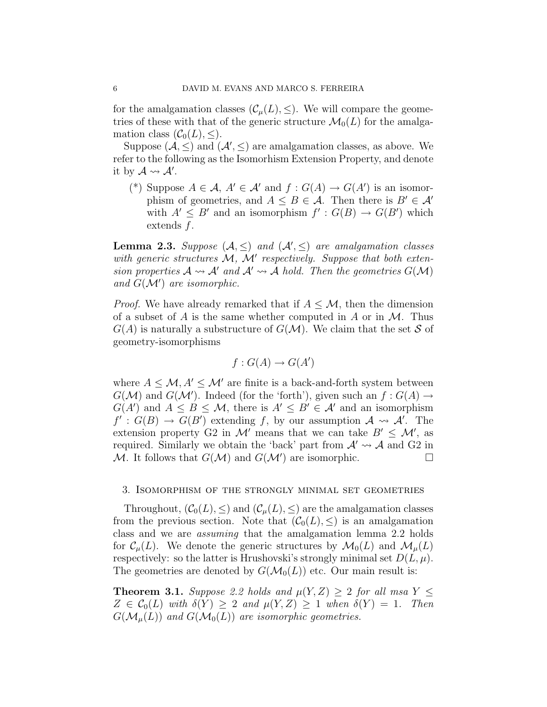for the amalgamation classes  $(C_u(L), \leq)$ . We will compare the geometries of these with that of the generic structure  $\mathcal{M}_0(L)$  for the amalgamation class  $(\mathcal{C}_0(L), \leq)$ .

Suppose  $(A, \leq)$  and  $(A', \leq)$  are amalgamation classes, as above. We refer to the following as the Isomorhism Extension Property, and denote it by  $\mathcal{A} \rightsquigarrow \mathcal{A}'$ .

(\*) Suppose  $A \in \mathcal{A}, A' \in \mathcal{A}'$  and  $f : G(A) \to G(A')$  is an isomorphism of geometries, and  $A \leq B \in \mathcal{A}$ . Then there is  $B' \in \mathcal{A}'$ with  $A' \leq B'$  and an isomorphism  $f' : G(B) \to G(B')$  which extends f.

**Lemma 2.3.** Suppose  $(A, \leq)$  and  $(A', \leq)$  are amalgamation classes with generic structures  $M$ ,  $M'$  respectively. Suppose that both extension properties  $A \rightsquigarrow A'$  and  $A' \rightsquigarrow A$  hold. Then the geometries  $G(\mathcal{M})$ and  $G(\mathcal{M}')$  are isomorphic.

*Proof.* We have already remarked that if  $A \leq M$ , then the dimension of a subset of A is the same whether computed in A or in  $\mathcal M$ . Thus  $G(A)$  is naturally a substructure of  $G(\mathcal{M})$ . We claim that the set S of geometry-isomorphisms

$$
f: G(A) \to G(A')
$$

where  $A \leq \mathcal{M}, A' \leq \mathcal{M}'$  are finite is a back-and-forth system between  $G(\mathcal{M})$  and  $G(\mathcal{M}')$ . Indeed (for the 'forth'), given such an  $f: G(A) \to$  $G(A')$  and  $A \leq B \leq \mathcal{M}$ , there is  $A' \leq B' \in \mathcal{A}'$  and an isomorphism  $f': G(B) \to G(B')$  extending f, by our assumption  $\mathcal{A} \rightsquigarrow \mathcal{A}'$ . The extension property G2 in M' means that we can take  $B' \leq M'$ , as required. Similarly we obtain the 'back' part from  $\mathcal{A}' \rightarrow \mathcal{A}$  and G2 in M. It follows that  $G(\mathcal{M})$  and  $G(\mathcal{M}')$  are isomorphic.

### 3. Isomorphism of the strongly minimal set geometries

Throughout,  $(\mathcal{C}_0(L), \leq)$  and  $(\mathcal{C}_\mu(L), \leq)$  are the amalgamation classes from the previous section. Note that  $(\mathcal{C}_0(L), \leq)$  is an amalgamation class and we are assuming that the amalgamation lemma 2.2 holds for  $\mathcal{C}_{\mu}(L)$ . We denote the generic structures by  $\mathcal{M}_0(L)$  and  $\mathcal{M}_{\mu}(L)$ respectively: so the latter is Hrushovski's strongly minimal set  $D(L, \mu)$ . The geometries are denoted by  $G(\mathcal{M}_0(L))$  etc. Our main result is:

**Theorem 3.1.** Suppose 2.2 holds and  $\mu(Y, Z) \geq 2$  for all msa  $Y \leq$  $Z \in \mathcal{C}_0(L)$  with  $\delta(Y) > 2$  and  $\mu(Y, Z) > 1$  when  $\delta(Y) = 1$ . Then  $G(\mathcal{M}_{\mu}(L))$  and  $G(\mathcal{M}_{0}(L))$  are isomorphic geometries.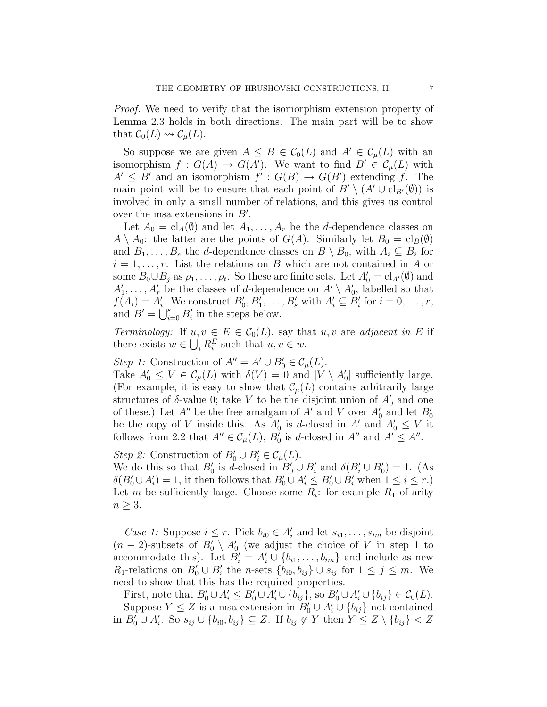Proof. We need to verify that the isomorphism extension property of Lemma 2.3 holds in both directions. The main part will be to show that  $C_0(L) \rightsquigarrow C_\mu(L)$ .

So suppose we are given  $A \leq B \in C_0(L)$  and  $A' \in C_{\mu}(L)$  with an isomorphism  $f: G(A) \to G(A')$ . We want to find  $B' \in \mathcal{C}_{\mu}(L)$  with  $A' \leq B'$  and an isomorphism  $f' : G(B) \to G(B')$  extending f. The main point will be to ensure that each point of  $B' \setminus (A' \cup \mathrm{cl}_{B'}(\emptyset))$  is involved in only a small number of relations, and this gives us control over the msa extensions in  $B'$ .

Let  $A_0 = \text{cl}_A(\emptyset)$  and let  $A_1, \ldots, A_r$  be the *d*-dependence classes on  $A \setminus A_0$ : the latter are the points of  $G(A)$ . Similarly let  $B_0 = \mathrm{cl}_B(\emptyset)$ and  $B_1, \ldots, B_s$  the *d*-dependence classes on  $B \setminus B_0$ , with  $A_i \subseteq B_i$  for  $i = 1, \ldots, r$ . List the relations on B which are not contained in A or some  $B_0 \cup B_j$  as  $\rho_1, \ldots, \rho_t$ . So these are finite sets. Let  $A'_0 = \mathrm{cl}_{A'}(\emptyset)$  and  $A'_1, \ldots, A'_r$  be the classes of d-dependence on  $A' \setminus A'_0$ , labelled so that  $f(A_i) = A'_i$ . We construct  $B'_0, B'_1, \ldots, B'_s$  with  $A'_i \subseteq B'_i$  for  $i = 0, \ldots, r$ , and  $B' = \bigcup_{i=0}^{s} B'_i$  in the steps below.

Terminology: If  $u, v \in E \in C_0(L)$ , say that  $u, v$  are adjacent in E if there exists  $w \in \bigcup_i R_i^E$  such that  $u, v \in w$ .

Step 1: Construction of  $A'' = A' \cup B'_0 \in C_{\mu}(L)$ .

Take  $A'_0 \leq V \in \mathcal{C}_{\mu}(L)$  with  $\delta(V) = 0$  and  $|V \setminus A'_0|$  sufficiently large. (For example, it is easy to show that  $\mathcal{C}_{\mu}(L)$  contains arbitrarily large structures of  $\delta$ -value 0; take V to be the disjoint union of  $A'_0$  and one of these.) Let  $A''$  be the free amalgam of  $A'$  and V over  $A'_0$  and let  $B'_0$ be the copy of V inside this. As  $A'_0$  is d-closed in A' and  $A'_0 \leq V$  it follows from 2.2 that  $A'' \in \mathcal{C}_{\mu}(L)$ ,  $B'_{0}$  is d-closed in  $A''$  and  $A' \leq A''$ .

Step 2: Construction of  $B'_0 \cup B'_i \in \mathcal{C}_{\mu}(L)$ .

We do this so that  $B'_0$  is d-closed in  $B'_0 \cup B'_i$  and  $\delta(B'_i \cup B'_0) = 1$ . (As  $\delta(B'_0 \cup A'_i) = 1$ , it then follows that  $B'_0 \cup A'_i \leq B'_0 \cup B'_i$  when  $1 \leq i \leq r$ .) Let m be sufficiently large. Choose some  $R_i$ : for example  $R_1$  of arity  $n \geq 3$ .

*Case 1:* Suppose  $i \leq r$ . Pick  $b_{i0} \in A'_i$  and let  $s_{i1}, \ldots, s_{im}$  be disjoint  $(n-2)$ -subsets of  $B'_0 \setminus A'_0$  (we adjust the choice of V in step 1 to accommodate this). Let  $B_i' = A_i' \cup \{b_{i1}, \ldots, b_{im}\}\$  and include as new  $R_1$ -relations on  $B'_0 \cup B'_i$  the *n*-sets  $\{b_{i0}, b_{ij}\} \cup s_{ij}$  for  $1 \leq j \leq m$ . We need to show that this has the required properties.

First, note that  $B'_0 \cup A'_i \leq B'_0 \cup A'_i \cup \{b_{ij}\}$ , so  $B'_0 \cup A'_i \cup \{b_{ij}\} \in C_0(L)$ . Suppose  $Y \leq Z$  is a msa extension in  $B'_0 \cup A'_i \cup \{b_{ij}\}\$  not contained in  $B'_0 \cup A'_i$ . So  $s_{ij} \cup \{b_{i0}, b_{ij}\} \subseteq Z$ . If  $b_{ij} \notin Y$  then  $Y \leq Z \setminus \{b_{ij}\} < Z$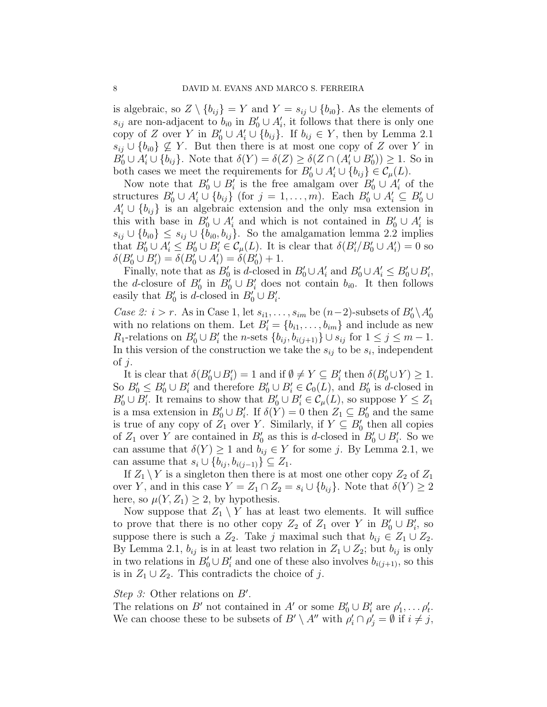is algebraic, so  $Z \setminus \{b_{ij}\} = Y$  and  $Y = s_{ij} \cup \{b_{i0}\}.$  As the elements of  $s_{ij}$  are non-adjacent to  $b_{i0}$  in  $B'_0 \cup A'_i$ , it follows that there is only one copy of Z over Y in  $B'_0 \cup A'_i \cup \{b_{ij}\}\$ . If  $b_{ij} \in Y$ , then by Lemma 2.1  $s_{ij} \cup \{b_{i0}\}\nsubseteq Y$ . But then there is at most one copy of Z over Y in  $B'_0 \cup A'_i \cup \{b_{ij}\}.$  Note that  $\delta(Y) = \delta(Z) \geq \delta(Z \cap (A'_i \cup B'_0)) \geq 1.$  So in both cases we meet the requirements for  $B'_0 \cup A'_i \cup \{b_{ij}\} \in C_{\mu}(L)$ .

Now note that  $B'_0 \cup B'_i$  is the free amalgam over  $B'_0 \cup A'_i$  of the structures  $B'_0 \cup A'_i \cup \{b_{ij}\}$  (for  $j = 1, \ldots, m$ ). Each  $B'_0 \cup A'_i \subseteq B'_0 \cup$  $A_i' \cup \{b_{ij}\}\$ is an algebraic extension and the only msa extension in this with base in  $B'_0 \cup A'_i$  and which is not contained in  $B'_0 \cup A'_i$  is  $s_{ij} \cup \{b_{i0}\}\leq s_{ij} \cup \{b_{i0}, b_{ij}\}.$  So the amalgamation lemma 2.2 implies that  $B'_0 \cup A'_i \leq B'_0 \cup B'_i \in C_\mu(L)$ . It is clear that  $\delta(B'_i/B'_0 \cup A'_i) = 0$  so  $\delta(B'_0 \cup B'_i) = \delta(B'_0 \cup A'_i) = \delta(B'_0) + 1.$ 

Finally, note that as  $B'_0$  is d-closed in  $B'_0 \cup A'_i$  and  $B'_0 \cup A'_i \le B'_0 \cup B'_i$ , the d-closure of  $B'_0$  in  $B'_0 \cup B'_i$  does not contain  $b_{i0}$ . It then follows easily that  $B'_0$  is d-closed in  $B'_0 \cup B'_i$ .

Case 2:  $i > r$ . As in Case 1, let  $s_{i1}, \ldots, s_{im}$  be  $(n-2)$ -subsets of  $B'_0 \setminus A'_0$ with no relations on them. Let  $B_i' = \{b_{i1}, \ldots, b_{im}\}\$ and include as new  $R_1$ -relations on  $B'_0 \cup B'_i$  the *n*-sets  $\{b_{ij}, b_{i(j+1)}\} \cup s_{ij}$  for  $1 \le j \le m-1$ . In this version of the construction we take the  $s_{ij}$  to be  $s_i$ , independent of  $j$ .

It is clear that  $\delta(B'_0 \cup B'_i) = 1$  and if  $\emptyset \neq Y \subseteq B'_i$  then  $\delta(B'_0 \cup Y) \geq 1$ . So  $B'_0 \leq B'_0 \cup B'_i$  and therefore  $B'_0 \cup B'_i \in C_0(L)$ , and  $B'_0$  is d-closed in  $B'_0 \cup B'_i$ . It remains to show that  $B'_0 \cup B'_i \in \mathcal{C}_{\mu}(L)$ , so suppose  $Y \leq Z_1$ is a msa extension in  $B'_0 \cup B'_i$ . If  $\delta(Y) = 0$  then  $Z_1 \subseteq B'_0$  and the same is true of any copy of  $Z_1$  over Y. Similarly, if  $Y \subseteq B'_0$  then all copies of  $Z_1$  over Y are contained in  $B'_0$  as this is d-closed in  $B'_0 \cup B'_i$ . So we can assume that  $\delta(Y) \geq 1$  and  $b_{ij} \in Y$  for some j. By Lemma 2.1, we can assume that  $s_i \cup \{b_{ij}, b_{i(j-1)}\} \subseteq Z_1$ .

If  $Z_1 \backslash Y$  is a singleton then there is at most one other copy  $Z_2$  of  $Z_1$ over Y, and in this case  $Y = Z_1 \cap Z_2 = s_i \cup \{b_{ij}\}.$  Note that  $\delta(Y) \geq 2$ here, so  $\mu(Y, Z_1) \geq 2$ , by hypothesis.

Now suppose that  $Z_1 \setminus Y$  has at least two elements. It will suffice to prove that there is no other copy  $Z_2$  of  $Z_1$  over Y in  $B'_0 \cup B'_i$ , so suppose there is such a  $Z_2$ . Take j maximal such that  $b_{ij} \in Z_1 \cup Z_2$ . By Lemma 2.1,  $b_{ij}$  is in at least two relation in  $Z_1 \cup Z_2$ ; but  $b_{ij}$  is only in two relations in  $B'_0 \cup B'_i$  and one of these also involves  $b_{i(j+1)}$ , so this is in  $Z_1 \cup Z_2$ . This contradicts the choice of j.

# Step 3: Other relations on  $B'$ .

The relations on B' not contained in A' or some  $B'_0 \cup B'_i$  are  $\rho'_1, \ldots, \rho'_t$ . We can choose these to be subsets of  $B' \setminus A''$  with  $\rho'_i \cap \rho'_j = \emptyset$  if  $i \neq j$ ,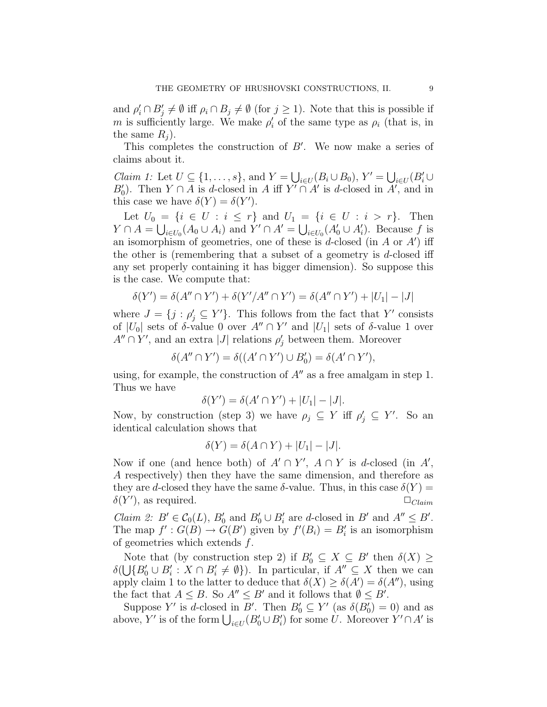and  $\rho'_i \cap B'_j \neq \emptyset$  iff  $\rho_i \cap B_j \neq \emptyset$  (for  $j \geq 1$ ). Note that this is possible if m is sufficiently large. We make  $\rho_i'$  of the same type as  $\rho_i$  (that is, in the same  $R_i$ ).

This completes the construction of  $B'$ . We now make a series of claims about it.

*Claim 1:* Let  $U \subseteq \{1, \ldots, s\}$ , and  $Y = \bigcup_{i \in U} (B_i \cup B_0), Y' = \bigcup_{i \in U} (B_i' \cup B_0)$  $B'_0$ ). Then  $Y \cap A$  is d-closed in A iff  $Y' \cap A'$  is d-closed in  $A'$ , and in this case we have  $\delta(Y) = \delta(Y')$ .

Let  $U_0 = \{i \in U : i \leq r\}$  and  $U_1 = \{i \in U : i > r\}$ . Then  $Y \cap A = \bigcup_{i \in U_0} (A_0 \cup A_i)$  and  $Y' \cap A' = \bigcup_{i \in U_0} (A'_0 \cup A'_i)$ . Because f is an isomorphism of geometries, one of these is d-closed (in  $A$  or  $A'$ ) iff the other is (remembering that a subset of a geometry is  $d$ -closed iff any set properly containing it has bigger dimension). So suppose this is the case. We compute that:

$$
\delta(Y') = \delta(A'' \cap Y') + \delta(Y'/A'' \cap Y') = \delta(A'' \cap Y') + |U_1| - |J|
$$

where  $J = \{j : \rho'_j \subseteq Y'\}$ . This follows from the fact that Y' consists of  $|U_0|$  sets of  $\delta$ -value 0 over  $A'' \cap Y'$  and  $|U_1|$  sets of  $\delta$ -value 1 over  $A'' \cap Y'$ , and an extra |J| relations  $\rho'_j$  between them. Moreover

$$
\delta(A'' \cap Y') = \delta((A' \cap Y') \cup B'_0) = \delta(A' \cap Y'),
$$

using, for example, the construction of  $A''$  as a free amalgam in step 1. Thus we have

$$
\delta(Y') = \delta(A' \cap Y') + |U_1| - |J|.
$$

Now, by construction (step 3) we have  $\rho_j \subseteq Y$  iff  $\rho'_j \subseteq Y'$ . So an identical calculation shows that

$$
\delta(Y) = \delta(A \cap Y) + |U_1| - |J|.
$$

Now if one (and hence both) of  $A' \cap Y'$ ,  $A \cap Y$  is d-closed (in A', A respectively) then they have the same dimension, and therefore as they are d-closed they have the same  $\delta$ -value. Thus, in this case  $\delta(Y)$  =  $\delta(Y')$ , as required.  $\Box_{Claim}$ 

*Claim 2:*  $B' \in C_0(L)$ ,  $B'_0$  and  $B'_0 \cup B'_i$  are d-closed in  $B'$  and  $A'' \le B'$ . The map  $f' : G(B) \to G(B')$  given by  $f'(B_i) = B'_i$  is an isomorphism of geometries which extends  $f$ .

Note that (by construction step 2) if  $B'_0 \subseteq X \subseteq B'$  then  $\delta(X) \geq$  $\delta(\bigcup \{B_0' \cup B_i' : X \cap B_i' \neq \emptyset\}).$  In particular, if  $A'' \subseteq X$  then we can apply claim 1 to the latter to deduce that  $\delta(X) \geq \delta(A') = \delta(A'')$ , using the fact that  $A \leq B$ . So  $A'' \leq B'$  and it follows that  $\emptyset \leq B'$ .

Suppose Y' is d-closed in B'. Then  $B'_0 \subseteq Y'$  (as  $\delta(B'_0) = 0$ ) and as above, Y' is of the form  $\bigcup_{i\in U} (B'_0 \cup B'_i)$  for some U. Moreover  $Y' \cap A'$  is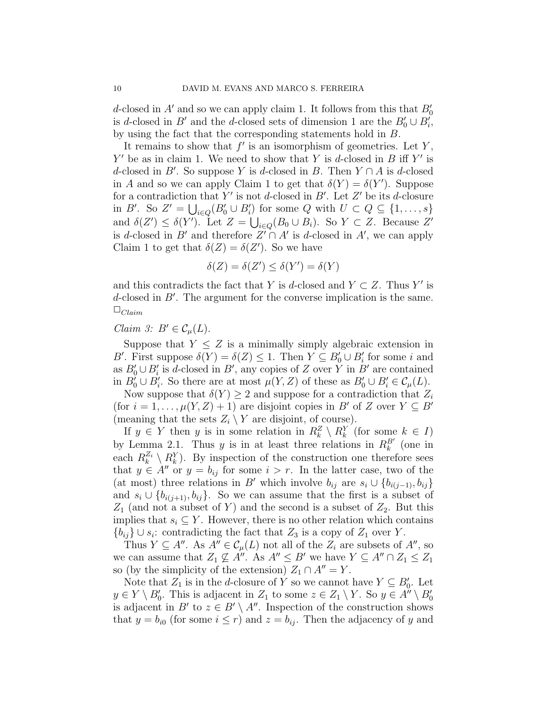d-closed in  $A'$  and so we can apply claim 1. It follows from this that  $B'_0$ is d-closed in B' and the d-closed sets of dimension 1 are the  $B'_0 \cup B'_i$ , by using the fact that the corresponding statements hold in B.

It remains to show that  $f'$  is an isomorphism of geometries. Let  $Y$ ,  $Y'$  be as in claim 1. We need to show that Y is d-closed in B iff Y' is d-closed in B'. So suppose Y is d-closed in B. Then  $Y \cap A$  is d-closed in A and so we can apply Claim 1 to get that  $\delta(Y) = \delta(Y')$ . Suppose for a contradiction that Y' is not d-closed in  $B'$ . Let Z' be its d-closure in B'. So  $Z' = \bigcup_{i \in Q} (B'_0 \cup B'_i)$  for some Q with  $U \subset Q \subseteq \{1, \ldots, s\}$ and  $\delta(Z') \leq \delta(Y')$ . Let  $Z = \bigcup_{i \in Q} (B_0 \cup B_i)$ . So  $Y \subset Z$ . Because  $Z'$ is d-closed in B' and therefore  $Z' \cap A'$  is d-closed in A', we can apply Claim 1 to get that  $\delta(Z) = \delta(Z')$ . So we have

$$
\delta(Z) = \delta(Z') \le \delta(Y') = \delta(Y)
$$

and this contradicts the fact that Y is d-closed and  $Y \subset Z$ . Thus Y' is d-closed in  $B'$ . The argument for the converse implication is the same.  $\square_{Claim}$ 

## Claim 3:  $B' \in \mathcal{C}_u(L)$ .

Suppose that  $Y \leq Z$  is a minimally simply algebraic extension in B'. First suppose  $\delta(Y) = \delta(Z) \leq 1$ . Then  $Y \subseteq B'_0 \cup B'_i$  for some i and as  $B'_0 \cup B'_i$  is d-closed in B', any copies of Z over Y in B' are contained in  $B'_0 \cup B'_i$ . So there are at most  $\mu(Y, Z)$  of these as  $B'_0 \cup B'_i \in C_{\mu}(L)$ .

Now suppose that  $\delta(Y) \geq 2$  and suppose for a contradiction that  $Z_i$ (for  $i = 1, ..., \mu(Y, Z) + 1$ ) are disjoint copies in B' of Z over  $Y \subseteq B'$ (meaning that the sets  $Z_i \setminus Y$  are disjoint, of course).

If  $y \in Y$  then y is in some relation in  $R_k^Z \setminus R_k^Y$  (for some  $k \in I$ ) by Lemma 2.1. Thus y is in at least three relations in  $R_k^{B'}$  (one in each  $R_k^{Z_i} \setminus R_k^Y$ . By inspection of the construction one therefore sees that  $y \in A''$  or  $y = b_{ij}$  for some  $i > r$ . In the latter case, two of the (at most) three relations in B' which involve  $b_{ij}$  are  $s_i \cup \{b_{i(j-1)}, b_{ij}\}\$ and  $s_i \cup \{b_{i(j+1)}, b_{ij}\}.$  So we can assume that the first is a subset of  $Z_1$  (and not a subset of Y) and the second is a subset of  $Z_2$ . But this implies that  $s_i \subseteq Y$ . However, there is no other relation which contains  ${b_{ij}} \cup s_i$ : contradicting the fact that  $Z_3$  is a copy of  $Z_1$  over Y.

Thus  $Y \subseteq A''$ . As  $A'' \in \mathcal{C}_{\mu}(L)$  not all of the  $Z_i$  are subsets of  $A''$ , so we can assume that  $Z_1 \not\subseteq A''$ . As  $A'' \leq B'$  we have  $Y \subseteq A'' \cap Z_1 \leq Z_1$ so (by the simplicity of the extension)  $Z_1 \cap A'' = Y$ .

Note that  $Z_1$  is in the d-closure of Y so we cannot have  $Y \subseteq B'_0$ . Let  $y \in Y \setminus B'_0$ . This is adjacent in  $Z_1$  to some  $z \in Z_1 \setminus Y$ . So  $y \in A'' \setminus B'_0$ is adjacent in B' to  $z \in B' \setminus A''$ . Inspection of the construction shows that  $y = b_{i0}$  (for some  $i \leq r$ ) and  $z = b_{ij}$ . Then the adjacency of y and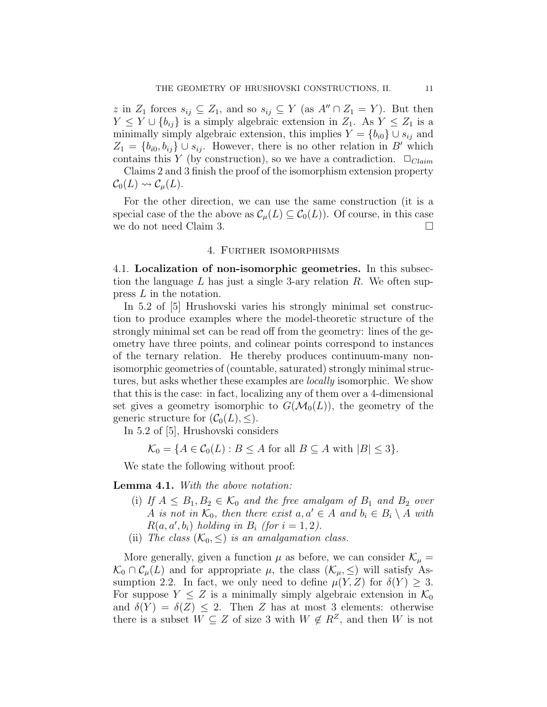z in  $Z_1$  forces  $s_{ij} \subseteq Z_1$ , and so  $s_{ij} \subseteq Y$  (as  $A'' \cap Z_1 = Y$ ). But then  $Y \leq Y \cup \{b_{ij}\}\$ is a simply algebraic extension in  $Z_1$ . As  $Y \leq Z_1$  is a minimally simply algebraic extension, this implies  $Y = \{b_{i0}\} \cup s_{ij}$  and  $Z_1 = \{b_{i0}, b_{ij}\} \cup s_{ij}$ . However, there is no other relation in B' which contains this Y (by construction), so we have a contradiction.  $\Box_{Claim}$ 

Claims 2 and 3 finish the proof of the isomorphism extension property  $\mathcal{C}_0(L) \rightsquigarrow \mathcal{C}_{\mu}(L).$ 

For the other direction, we can use the same construction (it is a special case of the the above as  $\mathcal{C}_{\mu}(L) \subseteq \mathcal{C}_{0}(L)$ . Of course, in this case we do not need Claim 3.

### 4. Further isomorphisms

4.1. Localization of non-isomorphic geometries. In this subsection the language  $L$  has just a single 3-ary relation  $R$ . We often suppress L in the notation.

In 5.2 of [5] Hrushovski varies his strongly minimal set construction to produce examples where the model-theoretic structure of the strongly minimal set can be read off from the geometry: lines of the geometry have three points, and colinear points correspond to instances of the ternary relation. He thereby produces continuum-many nonisomorphic geometries of (countable, saturated) strongly minimal structures, but asks whether these examples are locally isomorphic. We show that this is the case: in fact, localizing any of them over a 4-dimensional set gives a geometry isomorphic to  $G(\mathcal{M}_0(L))$ , the geometry of the generic structure for  $(C_0(L), \leq)$ .

In 5.2 of [5], Hrushovski considers

$$
\mathcal{K}_0 = \{ A \in \mathcal{C}_0(L) : B \le A \text{ for all } B \subseteq A \text{ with } |B| \le 3 \}.
$$

We state the following without proof:

Lemma 4.1. With the above notation:

- (i) If  $A \leq B_1, B_2 \in \mathcal{K}_0$  and the free amalgam of  $B_1$  and  $B_2$  over A is not in  $\mathcal{K}_0$ , then there exist  $a, a' \in A$  and  $b_i \in B_i \setminus A$  with  $R(a, a', b_i)$  holding in  $B_i$  (for  $i = 1, 2$ ).
- (ii) The class  $(\mathcal{K}_0, \leq)$  is an amalgamation class.

More generally, given a function  $\mu$  as before, we can consider  $\mathcal{K}_{\mu} =$  $\mathcal{K}_0 \cap C_\mu(L)$  and for appropriate  $\mu$ , the class  $(\mathcal{K}_\mu, \leq)$  will satisfy Assumption 2.2. In fact, we only need to define  $\mu(Y, Z)$  for  $\delta(Y) \geq 3$ . For suppose  $Y \leq Z$  is a minimally simply algebraic extension in  $\mathcal{K}_0$ and  $\delta(Y) = \delta(Z) \leq 2$ . Then Z has at most 3 elements: otherwise there is a subset  $W \subseteq Z$  of size 3 with  $W \notin R^Z$ , and then W is not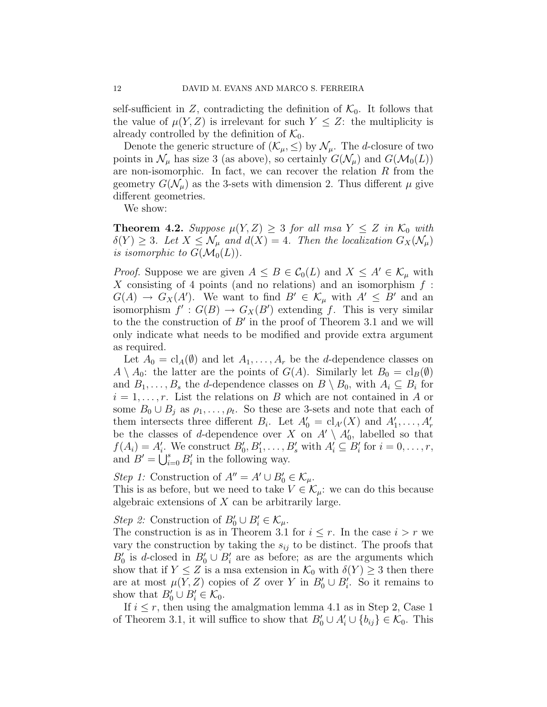self-sufficient in Z, contradicting the definition of  $\mathcal{K}_0$ . It follows that the value of  $\mu(Y, Z)$  is irrelevant for such  $Y \leq Z$ : the multiplicity is already controlled by the definition of  $\mathcal{K}_0$ .

Denote the generic structure of  $(\mathcal{K}_{\mu}, \leq)$  by  $\mathcal{N}_{\mu}$ . The *d*-closure of two points in  $\mathcal{N}_{\mu}$  has size 3 (as above), so certainly  $G(\mathcal{N}_{\mu})$  and  $G(\mathcal{M}_0(L))$ are non-isomorphic. In fact, we can recover the relation  $R$  from the geometry  $G(\mathcal{N}_{\mu})$  as the 3-sets with dimension 2. Thus different  $\mu$  give different geometries.

We show:

**Theorem 4.2.** Suppose  $\mu(Y, Z) \geq 3$  for all msa  $Y \leq Z$  in  $\mathcal{K}_0$  with  $\delta(Y) \geq 3$ . Let  $X \leq \mathcal{N}_{\mu}$  and  $d(X) = 4$ . Then the localization  $G_X(\mathcal{N}_{\mu})$ is isomorphic to  $G(\mathcal{M}_0(L))$ .

*Proof.* Suppose we are given  $A \leq B \in C_0(L)$  and  $X \leq A' \in \mathcal{K}_{\mu}$  with X consisting of 4 points (and no relations) and an isomorphism  $f$ :  $G(A) \to G_X(A')$ . We want to find  $B' \in \mathcal{K}_{\mu}$  with  $A' \leq B'$  and an isomorphism  $f' : G(B) \to G_X(B')$  extending f. This is very similar to the the construction of  $B'$  in the proof of Theorem 3.1 and we will only indicate what needs to be modified and provide extra argument as required.

Let  $A_0 = \mathrm{cl}_A(\emptyset)$  and let  $A_1, \ldots, A_r$  be the *d*-dependence classes on  $A \setminus A_0$ : the latter are the points of  $G(A)$ . Similarly let  $B_0 = \mathrm{cl}_B(\emptyset)$ and  $B_1, \ldots, B_s$  the *d*-dependence classes on  $B \setminus B_0$ , with  $A_i \subseteq B_i$  for  $i = 1, \ldots, r$ . List the relations on B which are not contained in A or some  $B_0 \cup B_j$  as  $\rho_1, \ldots, \rho_t$ . So these are 3-sets and note that each of them intersects three different  $B_i$ . Let  $A'_0 = \text{cl}_{A'}(X)$  and  $A'_1, \ldots, A'_r$ be the classes of d-dependence over X on  $A' \setminus A'_0$ , labelled so that  $f(A_i) = A'_i$ . We construct  $B'_0, B'_1, \ldots, B'_s$  with  $A'_i \subseteq B'_i$  for  $i = 0, \ldots, r$ , and  $B' = \bigcup_{i=0}^{s} B'_i$  in the following way.

Step 1: Construction of  $A'' = A' \cup B'_0 \in \mathcal{K}_{\mu}$ . This is as before, but we need to take  $V \in \mathcal{K}_{\mu}$ : we can do this because algebraic extensions of X can be arbitrarily large.

Step 2: Construction of  $B'_0 \cup B'_i \in \mathcal{K}_{\mu}$ .

The construction is as in Theorem 3.1 for  $i \leq r$ . In the case  $i > r$  we vary the construction by taking the  $s_{ij}$  to be distinct. The proofs that  $B'_0$  is d-closed in  $B'_0 \cup B'_i$  are as before; as are the arguments which show that if  $Y \leq Z$  is a msa extension in  $\mathcal{K}_0$  with  $\delta(Y) \geq 3$  then there are at most  $\mu(Y, Z)$  copies of Z over Y in  $B'_0 \cup B'_i$ . So it remains to show that  $B'_0 \cup B'_i \in \mathcal{K}_0$ .

If  $i \leq r$ , then using the amalgmation lemma 4.1 as in Step 2, Case 1 of Theorem 3.1, it will suffice to show that  $B'_0 \cup A'_i \cup \{b_{ij}\} \in \mathcal{K}_0$ . This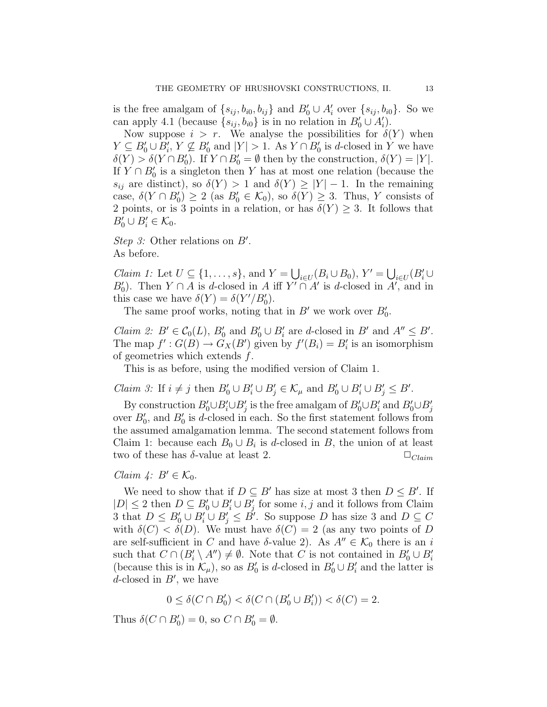is the free amalgam of  $\{s_{ij}, b_{i0}, b_{ij}\}\$  and  $B'_0 \cup A'_i$  over  $\{s_{ij}, b_{i0}\}\$ . So we can apply 4.1 (because  $\{s_{ij}, b_{i0}\}\$ is in no relation in  $B'_0 \cup A'_i$ ).

Now suppose  $i > r$ . We analyse the possibilities for  $\delta(Y)$  when  $Y \subseteq B'_0 \cup B'_i$ ,  $Y \nsubseteq B'_0$  and  $|Y| > 1$ . As  $Y \cap B'_0$  is d-closed in Y we have  $\delta(Y) > \delta(Y \cap B'_0)$ . If  $Y \cap B'_0 = \emptyset$  then by the construction,  $\delta(Y) = |Y|$ . If  $Y \cap B'_0$  is a singleton then Y has at most one relation (because the  $s_{ij}$  are distinct), so  $\delta(Y) > 1$  and  $\delta(Y) \geq |Y| - 1$ . In the remaining case,  $\delta(Y \cap B'_0) \ge 2$  (as  $B'_0 \in \mathcal{K}_0$ ), so  $\delta(Y) \ge 3$ . Thus, Y consists of 2 points, or is 3 points in a relation, or has  $\delta(Y) \geq 3$ . It follows that  $B'_0 \cup B'_i \in \mathcal{K}_0.$ 

Step 3: Other relations on  $B'$ . As before.

*Claim 1:* Let  $U \subseteq \{1, \ldots, s\}$ , and  $Y = \bigcup_{i \in U} (B_i \cup B_0), Y' = \bigcup_{i \in U} (B_i' \cup B_0')$  $B'_0$ ). Then  $Y \cap A$  is d-closed in A iff  $Y' \cap A'$  is d-closed in  $A'$ , and in this case we have  $\delta(Y) = \delta(Y'/B'_0)$ .

The same proof works, noting that in  $B'$  we work over  $B'_0$ .

*Claim 2:*  $B' \in C_0(L)$ ,  $B'_0$  and  $B'_0 \cup B'_i$  are d-closed in  $B'$  and  $A'' \le B'$ . The map  $f' : G(B) \to G_X(B')$  given by  $f'(B_i) = B'_i$  is an isomorphism of geometries which extends  $f$ .

This is as before, using the modified version of Claim 1.

*Claim 3:* If  $i \neq j$  then  $B'_0 \cup B'_i \cup B'_j \in \mathcal{K}_{\mu}$  and  $B'_0 \cup B'_i \cup B'_j \leq B'.$ 

By construction  $B'_0 \cup B'_i \cup B'_j$  is the free amalgam of  $B'_0 \cup B'_i$  and  $B'_0 \cup B'_j$ over  $B'_0$ , and  $B'_0$  is d-closed in each. So the first statement follows from the assumed amalgamation lemma. The second statement follows from Claim 1: because each  $B_0 \cup B_i$  is d-closed in B, the union of at least two of these has  $\delta$ -value at least 2.  $\Box_{Claim}$ 

### Claim  $\mathcal{L}: B' \in \mathcal{K}_0$ .

We need to show that if  $D \subseteq B'$  has size at most 3 then  $D \leq B'$ . If  $|D| \leq 2$  then  $D \subseteq B'_0 \cup B'_1 \cup B'_j$  for some  $i, j$  and it follows from Claim 3 that  $D \leq B'_0 \cup B'_1 \cup B'_j \leq \check{B}'$ . So suppose D has size 3 and  $D \subseteq C$ with  $\delta(C) < \delta(D)$ . We must have  $\delta(C) = 2$  (as any two points of D are self-sufficient in C and have  $\delta$ -value 2). As  $A'' \in \mathcal{K}_0$  there is an i such that  $C \cap (B_i' \setminus A'') \neq \emptyset$ . Note that C is not contained in  $B_0' \cup B_i'$ (because this is in  $\mathcal{K}_{\mu}$ ), so as  $B'_{0}$  is d-closed in  $B'_{0} \cup B'_{i}$  and the latter is  $d$ -closed in  $B'$ , we have

 $0 \le \delta(C \cap B'_0) < \delta(C \cap (B'_0 \cup B'_i)) < \delta(C) = 2.$ 

Thus  $\delta(C \cap B'_0) = 0$ , so  $C \cap B'_0 = \emptyset$ .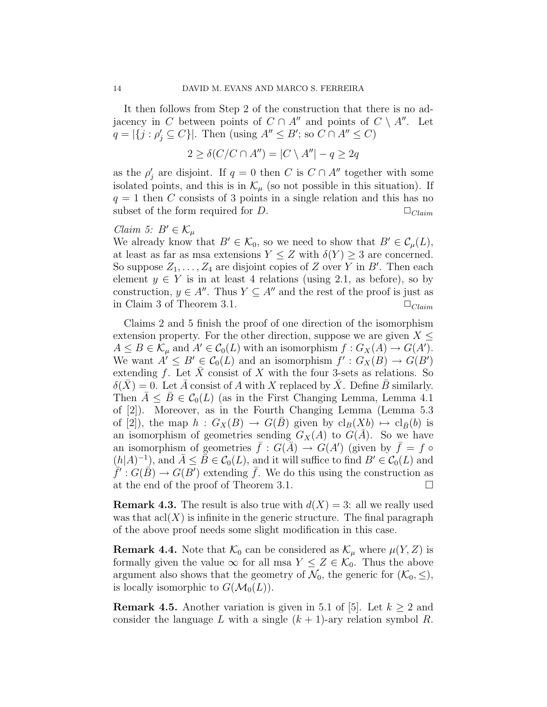It then follows from Step 2 of the construction that there is no adjacency in C between points of  $C \cap A''$  and points of  $C \setminus A''$ . Let  $q = |\{j : \rho'_j \subseteq C\}|$ . Then (using  $A'' \leq B'$ ; so  $C \cap A'' \leq C$ )

$$
2 \ge \delta(C/C \cap A'') = |C \setminus A''| - q \ge 2q
$$

as the  $\rho'_j$  are disjoint. If  $q = 0$  then C is  $C \cap A''$  together with some isolated points, and this is in  $\mathcal{K}_{\mu}$  (so not possible in this situation). If  $q = 1$  then C consists of 3 points in a single relation and this has no subset of the form required for D.  $\Box_{Claim}$ 

## *Claim 5:*  $B' \in \mathcal{K}_{\mu}$

We already know that  $B' \in \mathcal{K}_0$ , so we need to show that  $B' \in \mathcal{C}_{\mu}(L)$ , at least as far as msa extensions  $Y \leq Z$  with  $\delta(Y) \geq 3$  are concerned. So suppose  $Z_1, \ldots, Z_4$  are disjoint copies of Z over Y in B'. Then each element  $y \in Y$  is in at least 4 relations (using 2.1, as before), so by construction,  $y \in A''$ . Thus  $Y \subseteq A''$  and the rest of the proof is just as in Claim 3 of Theorem 3.1.  $\Box_{Claim}$ 

Claims 2 and 5 finish the proof of one direction of the isomorphism extension property. For the other direction, suppose we are given  $X \leq$  $A \leq B \in \mathcal{K}_{\mu}$  and  $A' \in \mathcal{C}_{0}(L)$  with an isomorphism  $f : G_{X}(A) \to G(A')$ . We want  $A' \leq B' \in C_0(L)$  and an isomorphism  $f' : G_X(B) \to G(B')$ extending f. Let  $\bar{X}$  consist of X with the four 3-sets as relations. So  $\delta(X) = 0$ . Let A consist of A with X replaced by X. Define B similarly. Then  $A \leq B \in C_0(L)$  (as in the First Changing Lemma, Lemma 4.1) of [2]). Moreover, as in the Fourth Changing Lemma (Lemma 5.3 of [2]), the map  $h : G_X(B) \to G(B)$  given by  $\text{cl}_B(Xb) \mapsto \text{cl}_{\bar{B}}(b)$  is an isomorphism of geometries sending  $G_X(A)$  to  $G(\overline{A})$ . So we have an isomorphism of geometries  $\bar{f}: G(\bar{A}) \to G(A')$  (given by  $\bar{f} = f \circ$  $(h|A)^{-1}$ , and  $\overline{A} \leq \overline{B} \in C_0(L)$ , and it will suffice to find  $B' \in C_0(L)$  and  $\overline{f}: G(\overline{B}) \to G(B')$  extending  $\overline{f}$ . We do this using the construction as at the end of the proof of Theorem 3.1.

**Remark 4.3.** The result is also true with  $d(X) = 3$ : all we really used was that  $\operatorname{acl}(X)$  is infinite in the generic structure. The final paragraph of the above proof needs some slight modification in this case.

**Remark 4.4.** Note that  $\mathcal{K}_0$  can be considered as  $\mathcal{K}_{\mu}$  where  $\mu(Y, Z)$  is formally given the value  $\infty$  for all msa  $Y \leq Z \in \mathcal{K}_0$ . Thus the above argument also shows that the geometry of  $\mathcal{N}_0$ , the generic for  $(\mathcal{K}_0, \leq),$ is locally isomorphic to  $G(\mathcal{M}_0(L))$ .

**Remark 4.5.** Another variation is given in 5.1 of [5]. Let  $k \geq 2$  and consider the language L with a single  $(k + 1)$ -ary relation symbol R.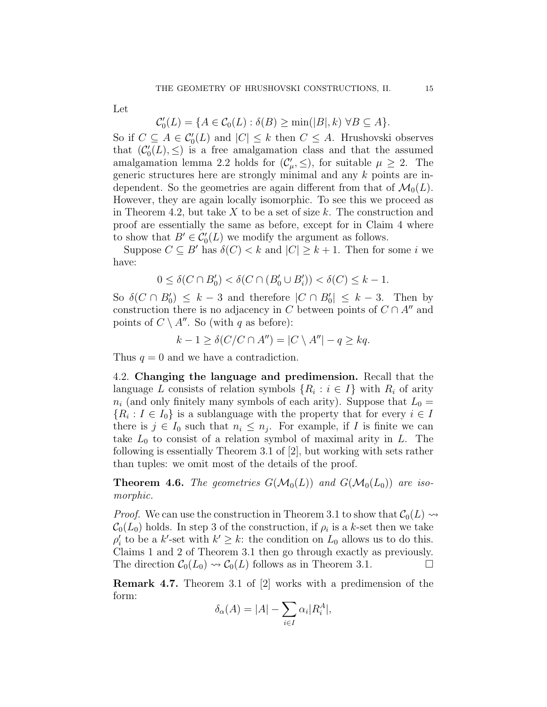Let

$$
\mathcal{C}'_0(L) = \{ A \in \mathcal{C}_0(L) : \delta(B) \ge \min(|B|, k) \ \forall B \subseteq A \}.
$$

So if  $C \subseteq A \in C'_0(L)$  and  $|C| \leq k$  then  $C \leq A$ . Hrushovski observes that  $(\mathcal{C}'_0(L), \leq)$  is a free amalgamation class and that the assumed amalgamation lemma 2.2 holds for  $(\mathcal{C}'_{\mu}, \leq)$ , for suitable  $\mu \geq 2$ . The generic structures here are strongly minimal and any k points are independent. So the geometries are again different from that of  $\mathcal{M}_0(L)$ . However, they are again locally isomorphic. To see this we proceed as in Theorem 4.2, but take  $X$  to be a set of size k. The construction and proof are essentially the same as before, except for in Claim 4 where to show that  $B' \in C'_0(L)$  we modify the argument as follows.

Suppose  $C \subseteq B'$  has  $\delta(C) < k$  and  $|C| \geq k+1$ . Then for some i we have:

$$
0\leq \delta(C\cap B'_0)<\delta(C\cap (B'_0\cup B'_i))<\delta(C)\leq k-1.
$$

So  $\delta(C \cap B'_0) \leq k-3$  and therefore  $|C \cap B'_0| \leq k-3$ . Then by construction there is no adjacency in C between points of  $C \cap A^{\prime\prime}$  and points of  $C \setminus A''$ . So (with q as before):

$$
k - 1 \ge \delta(C/C \cap A'') = |C \setminus A''| - q \ge kq.
$$

Thus  $q = 0$  and we have a contradiction.

4.2. Changing the language and predimension. Recall that the language L consists of relation symbols  $\{R_i : i \in I\}$  with  $R_i$  of arity  $n_i$  (and only finitely many symbols of each arity). Suppose that  $L_0 =$  ${R_i : I \in I_0}$  is a sublanguage with the property that for every  $i \in I$ there is  $j \in I_0$  such that  $n_i \leq n_j$ . For example, if I is finite we can take  $L_0$  to consist of a relation symbol of maximal arity in L. The following is essentially Theorem 3.1 of [2], but working with sets rather than tuples: we omit most of the details of the proof.

**Theorem 4.6.** The geometries  $G(\mathcal{M}_0(L))$  and  $G(\mathcal{M}_0(L_0))$  are isomorphic.

*Proof.* We can use the construction in Theorem 3.1 to show that  $\mathcal{C}_0(L) \rightarrow$  $\mathcal{C}_0(L_0)$  holds. In step 3 of the construction, if  $\rho_i$  is a k-set then we take  $\rho'_i$  to be a k'-set with  $k' \geq k$ : the condition on  $L_0$  allows us to do this. Claims 1 and 2 of Theorem 3.1 then go through exactly as previously. The direction  $C_0(L_0) \rightsquigarrow C_0(L)$  follows as in Theorem 3.1.

Remark 4.7. Theorem 3.1 of [2] works with a predimension of the form:

$$
\delta_{\alpha}(A) = |A| - \sum_{i \in I} \alpha_i |R_i^A|,
$$